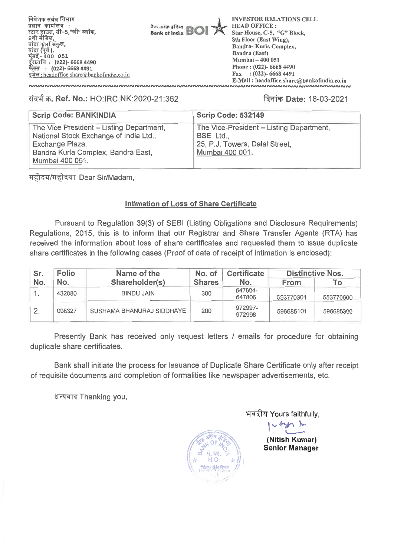निवेशक संबंध विभाग प्रधान कार्यालय : स्टार हाउस, सी-5,"जी" ब्लॉक. 8वी मंजिल, बांद्रा कुर्ला संकुल, मंद्रा (पूर्व ),<br>मुंबई - 400 051 दूरध्वनि: (022)- 6668 4490 फेक्स : (022)- 6668 4491 इमेल: headoffice.share@bankofindia.co.in

do ans afam **Bank of India** 

**INVESTOR RELATIONS CELL HEAD OFFICE:** Star House, C-5, "G" Block, 8th Floor (East Wing), Bandra-Kurla Complex, **Bandra** (East) Mumbai - 400 051 Phone: (022)-6668 4490 Fax:  $(022) - 66684491$ E-Mail: headoffice.share@bankofindia.co.in ๛๛๛๛๛๛๛๛๛๛๛๛๛๛๛๛๛

## संदर्भ क्र. Ref. No.: HO:IRC:NK:2020-21:362

**,,,,,,,,,,,,,,,,,,,,,,,,,,,,,,** 

## दिनांक **Date: 18-03-2021**

| <b>Scrip Code: BANKINDIA</b>                                                                                                                                   | <b>Scrip Code: 532149</b>                                                                                  |
|----------------------------------------------------------------------------------------------------------------------------------------------------------------|------------------------------------------------------------------------------------------------------------|
| The Vice President - Listing Department,<br>National Stock Exchange of India Ltd.,<br>Exchange Plaza,<br>Bandra Kurla Complex, Bandra East,<br>Mumbai 400 051. | The Vice-President - Listing Department,<br>BSE Ltd.,<br>25, P.J. Towers, Dalal Street,<br>Mumbai 400 001. |

महोदय/महोदया Dear Sir/Madam,

## **Intimation of Loss of Share Certificate**

Pursuant to Regulation 39(3) of SEBI (Listing Obligations and Disclosure Requirements) Regulations, 2015, this is to inform that our Registrar and Share Transfer Agents (RTA) has received the information about loss of share certificates and requested them to issue duplicate share certificates in the following cases (Proof of date of receipt of intimation is enclosed):

| Sr. | <b>Folio</b> | Name of the               | No. of        | <b>Certificate</b> |             | <b>Distinctive Nos.</b> |
|-----|--------------|---------------------------|---------------|--------------------|-------------|-------------------------|
| No. | No.          | Shareholder(s)            | <b>Shares</b> | No.                | <b>From</b> | To:                     |
|     | 432880       | <b>BINDU JAIN</b>         | 300           | 647804-<br>647806  | 553770301   | 553770600               |
|     | 008327       | SUSHAMA BHANURAJ SIDDHAYE | 200           | 972997-<br>972998  | 596685101   | 596685300               |

Presently Bank has received only request letters / emails for procedure for obtaining duplicate share certificates.

Bank shall initiate the process for Issuance of Duplicate Share Certificate only after receipt of requisite documents and completion of formalities like newspaper advertisements, etc.

धन्यवाद Thanking you,



भवदीय Yours faithfully,

(Nitish Kumar) **Senior Manager** 

within In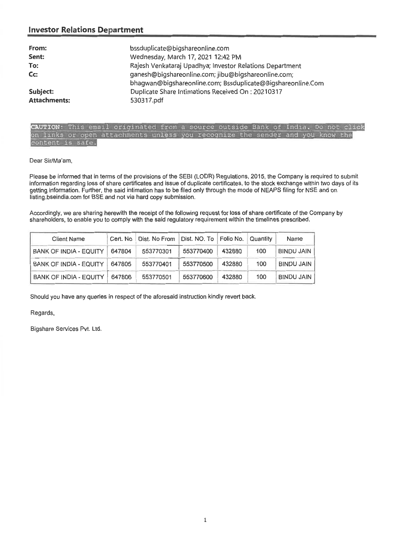## **Investor Relations Department**

| From:<br>Sent:<br>To:<br>Cc: | bssduplicate@bigshareonline.com<br>Wednesday, March 17, 2021 12:42 PM<br>Rajesh Venkataraj Upadhya; Investor Relations Department<br>ganesh@bigshareonline.com; jibu@bigshareonline.com;<br>bhagwan@bigshareonline.com; Bssduplicate@Bigshareonline.Com |
|------------------------------|---------------------------------------------------------------------------------------------------------------------------------------------------------------------------------------------------------------------------------------------------------|
| Subject:                     | Duplicate Share Intimations Received On: 20210317                                                                                                                                                                                                       |
| <b>Attachments:</b>          | 530317.pdf                                                                                                                                                                                                                                              |

### FION: This email originated from a source outside Bank of India. on links or open attachments unless you recognize the sender and you know the and you content is safe. content is safe.

### Dear Sir/Ma'am,

Please be informed that in terms of the provisions of the SEBI (LODR) Regulations, 2015, the Company is required to submit information regarding loss of share certificates and issue of duplicate certificates, to the stock exchange within two days of its getting information. Further, the said intimation has to be filed only through the mode of NEAPS filing for NSE and on listing.bseindia.com for BSE and not via hard copy submission. Dear Sir/Ma'am,<br>Please be informed that in terms of the provisions of the SEBI (LODR) Regulations, 2015, the Company is required to submit<br>information regarding loss of share certificates and issue of duplicate certificate

Accordingly, we are sharing herewith the receipt of the following request for loss of share certificate of the Company by shareholders, to enable you to comply with the said regulatory requirement within the timelines prescribed.

| <b>Client Name</b>                                                                      | Cert. No | Dist. No From | Dist. NO. To | Folio No. | Quantity | Name              |
|-----------------------------------------------------------------------------------------|----------|---------------|--------------|-----------|----------|-------------------|
| <b>BANK OF INDIA - EQUITY</b>                                                           | 647804   | 553770301     | 553770400    | 432880    | 100      | <b>BINDU JAIN</b> |
| <b>BANK OF INDIA - EQUITY</b>                                                           | 647805   | 553770401     | 553770500    | 432880    | 100      | <b>BINDU JAIN</b> |
| <b>BANK OF INDIA - EQUITY</b>                                                           | 647806   | 553770501     | 553770600    | 432880    | 100      | <b>BINDU JAIN</b> |
| Should you have any queries in respect of the aforesaid instruction kindly revert back. |          |               |              |           |          |                   |
| Regards,                                                                                |          |               |              |           |          |                   |
| Bigshare Services Pvt. Ltd.                                                             |          |               |              |           |          |                   |
|                                                                                         |          |               |              |           |          |                   |
|                                                                                         |          |               |              |           |          |                   |
|                                                                                         |          |               |              |           |          |                   |
|                                                                                         |          |               |              |           |          |                   |
|                                                                                         |          |               |              |           |          |                   |
|                                                                                         |          |               |              |           |          |                   |
|                                                                                         |          |               |              |           |          |                   |
|                                                                                         |          |               |              |           |          |                   |
|                                                                                         |          |               |              |           |          |                   |
|                                                                                         |          |               |              |           |          |                   |
|                                                                                         |          |               |              |           |          |                   |
|                                                                                         |          |               |              |           |          |                   |
|                                                                                         |          |               |              |           |          |                   |
|                                                                                         |          |               | $\mathbf 1$  |           |          |                   |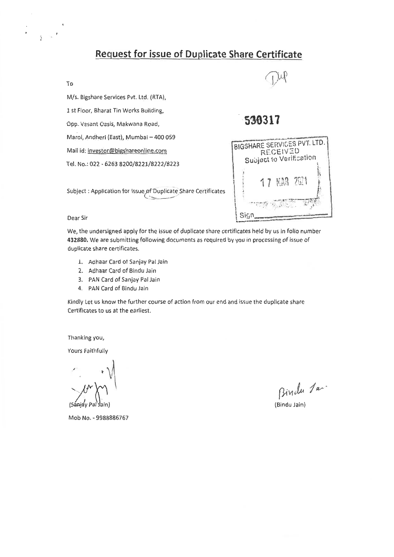# **Request for issue of Duplicate Share Certificate**. **Request for issue of Duplicate Share Certificate.**

### To **To**

 $\ddot{\phantom{1}}$ 

M/s. Bigshare Services Pvt. Ltd. (RTA), **M/s. Bigshare Services Pvt. Ltd. (RTA),**  1 st Floor, Bharat Tin Works Building, **1 st Floor, Bharat Tin Works Building,**  Opp. Vasant Oasis, Makwana Road, **Opp. Vasant Oasis, Makwana Road,**  Marol, Andheri (East), Mumbai — 400 059 **Marol, Andheri (East), Mumbai — 400 059** 

Mail id: investor@bigshareonline.com **Mail id: investor@bigshareonline.com** 

Tel. No.: 022 - 6263 8200/8221/8222/8223 **Tel. No.: 022 - 6263 8200/8221/8222/8223** 

**30317 530317** 

|      | BIGSHARE SERVICES PVT. LTD. | <b>RECEIVED</b> |  |
|------|-----------------------------|-----------------|--|
|      | Subject to Verification     |                 |  |
|      |                             | 17 開3 2021      |  |
|      |                             |                 |  |
| Sigr |                             |                 |  |

Subject : Application for Issue,of-Duplicate Share Certificates ••• **Subject : Application for Issue of Duplicate Share Certificates** 

#### Dear Sir **Dear Sir**

We, the undersigned apply for the issue of duplicate share certificates held by us in folio number **We, the undersigned apply for the issue of duplicate share certificates held by us in folio number**  432880. We are submitting following documents as required by you in processing of issue of **432880. We are submitting following documents as required by you in processing of issue of**  duplicate share certificates. **duplicate share certificates.** 

- 1. Aahaar Card of Sanjay Pal Jain **1. Aohaar Card of Sanjay Pal Jain**
- 2. Adhaar Card of Bindu Jain **2. Adhaar Card of Bindu Jain**
- 3. PAN Card of Sanjay Pal Jain **3. PAN Card of Sanjay Pal Jain**
- 4, PAN Card of Bindu Jain **4, PAN Card of Bindu Jain**

Kindly Let us know the further course of action from our end and issue the duplicate share **Kindly Let us know the further course of action from our end and issue the duplicate share**  Certificates to us at the earliest. **Certificates to us at the earliest.** 

Thanking you, **Thanking you,** 

Yours Faithfully **Yours Faithfully** 

. (Sway Pal \*am) **. (Sanjay Pal am)** 

Mob No. - 9988886767 **Mob No. - 9988886767** 

Binda Jan

**(Bindu Jain)**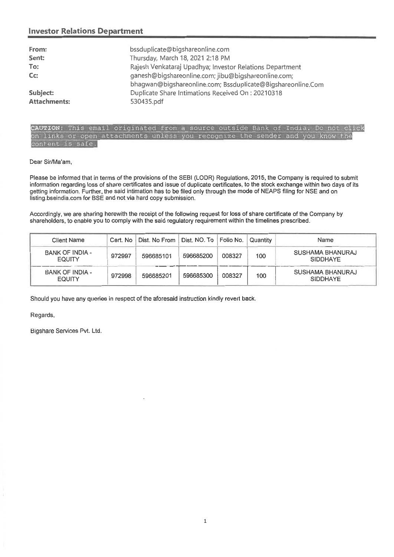## **Investor Relations Department**  Investor Relations Department

| From:               | bssduplicate@bigshareonline.com                                                                                    |
|---------------------|--------------------------------------------------------------------------------------------------------------------|
| Sent:               | Thursday, March 18, 2021 2:18 PM                                                                                   |
| To:                 | Rajesh Venkataraj Upadhya; Investor Relations Department                                                           |
| $Cc$ :              | ganesh@bigshareonline.com; jibu@bigshareonline.com;<br>bhagwan@bigshareonline.com; Bssduplicate@Bigshareonline.Com |
| Subject:            | Duplicate Share Intimations Received On: 20210318                                                                  |
| <b>Attachments:</b> | 530435.pdf                                                                                                         |

## CAUTION: This email originated from a source outside Bank of on links or open attachments unless you recognize the sender and you know the or open content is safe.

### Dear Sir/Ma'am,

Please be informed that in terms of the provisions of the SEBI (LODR) Regulations, 2015, the Company is required to submit information regarding loss of share certificates and issue of duplicate certificates, to the stock exchange within two days of its getting information. Further, the said intimation has to be filed only through the mode of NEAPS filing for NSE and on listing.bseindia.com for BSE and not via hard copy submission.

|                                                                                                             |          | listing bseindia.com for BSE and not via hard copy submission. |              |           |          |                                                                                                                           |
|-------------------------------------------------------------------------------------------------------------|----------|----------------------------------------------------------------|--------------|-----------|----------|---------------------------------------------------------------------------------------------------------------------------|
|                                                                                                             |          |                                                                |              |           |          | Accordingly, we are sharing herewith the receipt of the following request for loss of share certificate of the Company by |
| shareholders, to enable you to comply with the said regulatory requirement within the timelines prescribed. |          |                                                                |              |           |          |                                                                                                                           |
| <b>Client Name</b>                                                                                          | Cert. No | Dist. No From                                                  | Dist. NO. To | Folio No. | Quantity | Name                                                                                                                      |
| BANK OF INDIA -<br><b>EQUITY</b>                                                                            | 972997   | 596685101                                                      | 596685200    | 008327    | 100      | SUSHAMA BHANURAJ<br><b>SIDDHAYE</b>                                                                                       |
| <b>BANK OF INDIA -</b><br><b>EQUITY</b>                                                                     | 972998   | 596685201                                                      | 596685300    | 008327    | 100      | SUSHAMA BHANURAJ<br><b>SIDDHAYE</b>                                                                                       |

Regards,

Bigshare Services Pvt. Ltd.